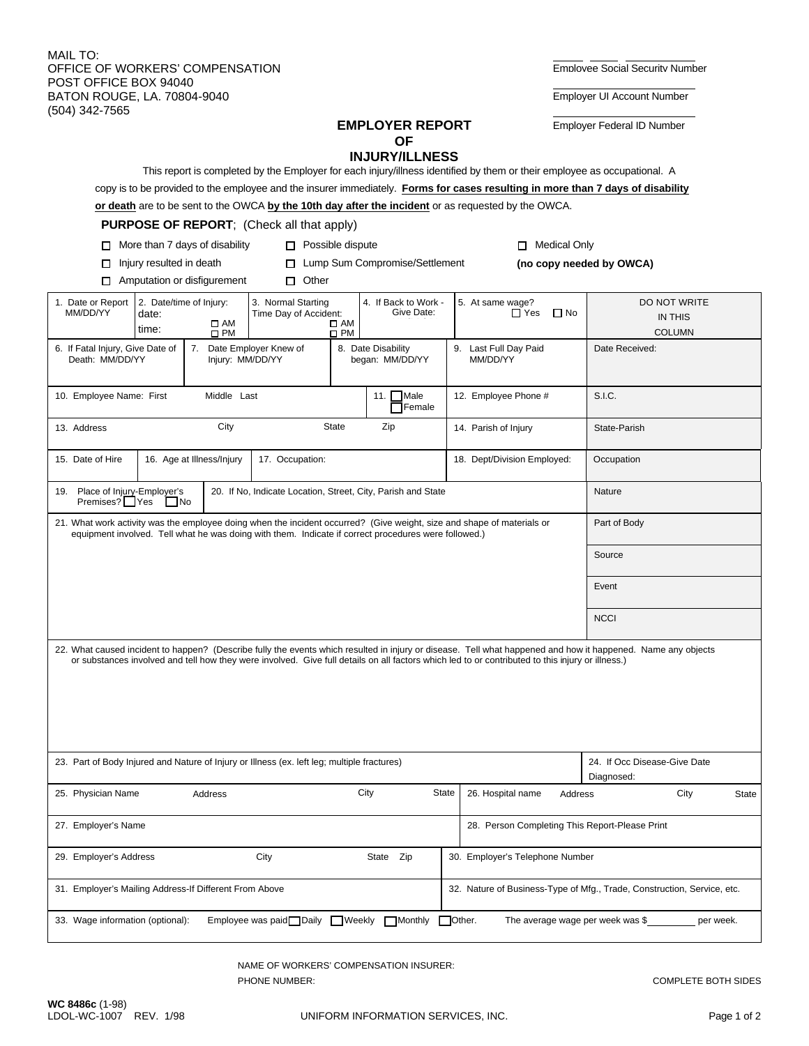MAIL TO: - - OFFICE OF WORKERS' COMPENSATION **EMPLOYEE OF WORKERS'** COMPENSATION POST OFFICE BOX 94040<br>
BATON ROUGE, LA. 70804-9040 BATON ROUGE, LA. 70804-9040 (504) 342-7565

**Employer Federal ID Number** 

## **OF**

|                                                                                                                                                                                                                                                                                                                  |                             |                                                                |                                                  |              | <b>INJURY/ILLNESS</b> |                                   |                                                                                                                          |                |                                                                                                                                 |           |  |
|------------------------------------------------------------------------------------------------------------------------------------------------------------------------------------------------------------------------------------------------------------------------------------------------------------------|-----------------------------|----------------------------------------------------------------|--------------------------------------------------|--------------|-----------------------|-----------------------------------|--------------------------------------------------------------------------------------------------------------------------|----------------|---------------------------------------------------------------------------------------------------------------------------------|-----------|--|
|                                                                                                                                                                                                                                                                                                                  |                             |                                                                |                                                  |              |                       |                                   | This report is completed by the Employer for each injury/illness identified by them or their employee as occupational. A |                | copy is to be provided to the employee and the insurer immediately. Forms for cases resulting in more than 7 days of disability |           |  |
|                                                                                                                                                                                                                                                                                                                  |                             |                                                                |                                                  |              |                       |                                   | or death are to be sent to the OWCA by the 10th day after the incident or as requested by the OWCA.                      |                |                                                                                                                                 |           |  |
|                                                                                                                                                                                                                                                                                                                  |                             |                                                                | <b>PURPOSE OF REPORT: (Check all that apply)</b> |              |                       |                                   |                                                                                                                          |                |                                                                                                                                 |           |  |
| More than 7 days of disability<br>$\Box$ Possible dispute<br><b>Medical Only</b><br>П.<br>п                                                                                                                                                                                                                      |                             |                                                                |                                                  |              |                       |                                   |                                                                                                                          |                |                                                                                                                                 |           |  |
| Lump Sum Compromise/Settlement<br>Injury resulted in death<br>□<br>$\Box$                                                                                                                                                                                                                                        |                             |                                                                |                                                  |              |                       |                                   |                                                                                                                          |                | (no copy needed by OWCA)                                                                                                        |           |  |
| □                                                                                                                                                                                                                                                                                                                | Amputation or disfigurement |                                                                | $\Box$ Other                                     |              |                       |                                   |                                                                                                                          |                |                                                                                                                                 |           |  |
| 1. Date or Report                                                                                                                                                                                                                                                                                                | 2. Date/time of Injury:     |                                                                | 4. If Back to Work -<br>3. Normal Starting       |              |                       |                                   | 5. At same wage?                                                                                                         |                | DO NOT WRITE                                                                                                                    |           |  |
| MM/DD/YY                                                                                                                                                                                                                                                                                                         | date:                       | $\square$ AM                                                   | Time Day of Accident:                            | $\square$ AM | Give Date:            |                                   | $\Box$ No<br>$\Box$ Yes                                                                                                  |                | IN THIS                                                                                                                         |           |  |
|                                                                                                                                                                                                                                                                                                                  | time:                       | $\square$ PM                                                   |                                                  | $\square$ PM |                       |                                   |                                                                                                                          |                | <b>COLUMN</b>                                                                                                                   |           |  |
| 6. If Fatal Injury, Give Date of<br>Death: MM/DD/YY                                                                                                                                                                                                                                                              | 7.<br>Injury: MM/DD/YY      | Date Employer Knew of<br>8. Date Disability<br>began: MM/DD/YY |                                                  |              |                       | 9. Last Full Day Paid<br>MM/DD/YY |                                                                                                                          | Date Received: |                                                                                                                                 |           |  |
| Male<br>11. $\Gamma$<br>10. Employee Name: First<br>Middle Last<br>12. Employee Phone #<br><b>TFemale</b>                                                                                                                                                                                                        |                             |                                                                |                                                  |              |                       |                                   |                                                                                                                          | S.I.C.         |                                                                                                                                 |           |  |
| 13. Address                                                                                                                                                                                                                                                                                                      | City                        | State<br>Zip                                                   |                                                  |              |                       | 14. Parish of Injury              |                                                                                                                          | State-Parish   |                                                                                                                                 |           |  |
| 15. Date of Hire<br>16. Age at Illness/Injury                                                                                                                                                                                                                                                                    |                             |                                                                | 17. Occupation:                                  |              |                       |                                   | 18. Dept/Division Employed:                                                                                              |                | Occupation                                                                                                                      |           |  |
| Place of Injury-Employer's<br>20. If No, Indicate Location, Street, City, Parish and State<br>19.<br>Premises? Yes<br>  No                                                                                                                                                                                       |                             |                                                                |                                                  |              |                       |                                   |                                                                                                                          |                | Nature                                                                                                                          |           |  |
| 21. What work activity was the employee doing when the incident occurred? (Give weight, size and shape of materials or<br>equipment involved. Tell what he was doing with them. Indicate if correct procedures were followed.)                                                                                   |                             |                                                                |                                                  |              |                       |                                   |                                                                                                                          |                | Part of Body                                                                                                                    |           |  |
|                                                                                                                                                                                                                                                                                                                  |                             |                                                                |                                                  |              |                       |                                   |                                                                                                                          |                | Source                                                                                                                          |           |  |
|                                                                                                                                                                                                                                                                                                                  |                             |                                                                |                                                  |              |                       |                                   |                                                                                                                          |                | Event                                                                                                                           |           |  |
|                                                                                                                                                                                                                                                                                                                  |                             |                                                                |                                                  |              |                       |                                   |                                                                                                                          |                | <b>NCCI</b>                                                                                                                     |           |  |
| 22. What caused incident to happen? (Describe fully the events which resulted in injury or disease. Tell what happened and how it happened. Name any objects<br>or substances involved and tell how they were involved. Give full details on all factors which led to or contributed to this injury or illness.) |                             |                                                                |                                                  |              |                       |                                   |                                                                                                                          |                |                                                                                                                                 |           |  |
| 23. Part of Body Injured and Nature of Injury or Illness (ex. left leg; multiple fractures)                                                                                                                                                                                                                      |                             |                                                                |                                                  |              |                       |                                   |                                                                                                                          |                | 24. If Occ Disease-Give Date<br>Diagnosed:                                                                                      |           |  |
| 25. Physician Name                                                                                                                                                                                                                                                                                               |                             | Address                                                        |                                                  |              | City<br><b>State</b>  |                                   | 26. Hospital name                                                                                                        | Address        | City                                                                                                                            | State     |  |
| 27. Employer's Name                                                                                                                                                                                                                                                                                              |                             |                                                                |                                                  |              |                       |                                   | 28. Person Completing This Report-Please Print                                                                           |                |                                                                                                                                 |           |  |
| 29. Employer's Address                                                                                                                                                                                                                                                                                           |                             |                                                                | City                                             |              | State Zip             |                                   | 30. Employer's Telephone Number                                                                                          |                |                                                                                                                                 |           |  |
| 31. Employer's Mailing Address-If Different From Above                                                                                                                                                                                                                                                           |                             |                                                                |                                                  |              |                       |                                   | 32. Nature of Business-Type of Mfg., Trade, Construction, Service, etc.                                                  |                |                                                                                                                                 |           |  |
| 33. Wage information (optional):                                                                                                                                                                                                                                                                                 |                             |                                                                | Employee was paid□Daily ■ Weekly                 |              | <b>Monthly</b>        | Other.                            | The average wage per week was \$                                                                                         |                |                                                                                                                                 | per week. |  |

NAME OF WORKERS' COMPENSATION INSURER: PHONE NUMBER:  $\sim$  PHONE NUMBER: